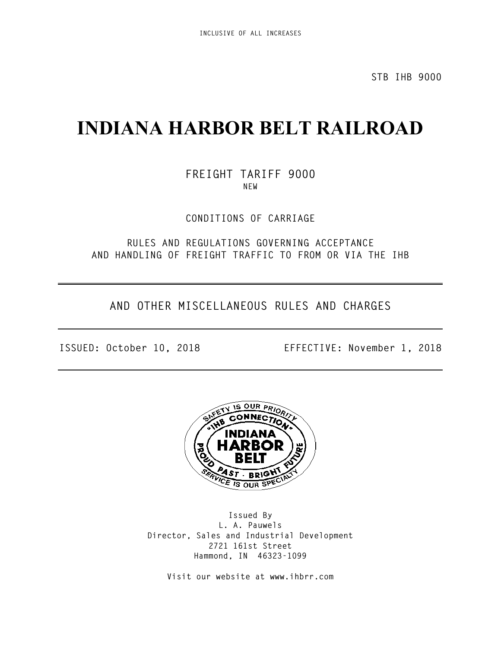**STB IHB 9000**

# **INDIANA HARBOR BELT RAILROAD**

**FREIGHT TARIFF 9000 NEW**

**CONDITIONS OF CARRIAGE**

**RULES AND REGULATIONS GOVERNING ACCEPTANCE AND HANDLING OF FREIGHT TRAFFIC TO FROM OR VIA THE IHB**

**AND OTHER MISCELLANEOUS RULES AND CHARGES**

**ISSUED: October 10, 2018 EFFECTIVE: November 1, 2018**



**Issued By L. A. Pauwels Director, Sales and Industrial Development 2721 161st Street Hammond, IN 46323-1099**

**Visit our website at www.ihbrr.com**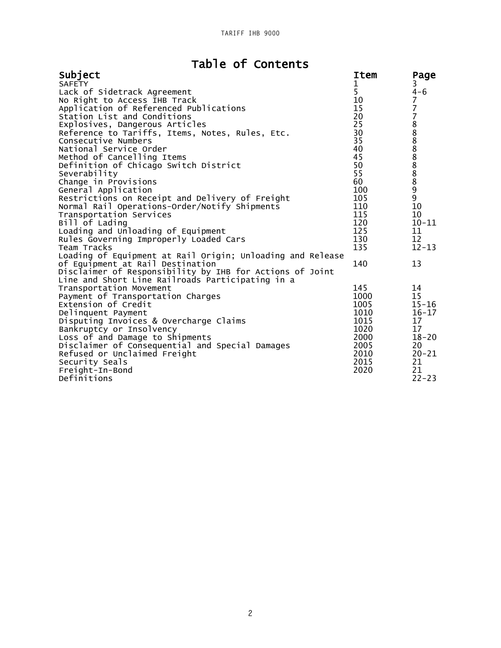# Table of Contents

| Subject                                                    | Item | Page           |
|------------------------------------------------------------|------|----------------|
| <b>SAFETY</b>                                              | 1    | 3              |
| Lack of Sidetrack Agreement                                | 5    | $4 - 6$        |
| No Right to Access IHB Track                               | 10   | $\overline{7}$ |
| Application of Referenced Publications                     | 15   |                |
| Station List and Conditions                                | 20   |                |
| Explosives, Dangerous Articles                             | 25   |                |
| Reference to Tariffs, Items, Notes, Rules, Etc.            | 30   |                |
| Consecutive Numbers                                        | 35   |                |
| National Service Order                                     | 40   |                |
| Method of Cancelling Items                                 | 45   | 778888888899   |
| Definition of Chicago Switch District                      | 50   |                |
| Severability                                               | 55   |                |
| Change in Provisions                                       | 60   |                |
| General Application                                        | 100  |                |
| Restrictions on Receipt and Delivery of Freight            | 105  |                |
| Normal Rail Operations-Order/Notify Shipments              | 110  | 10             |
| Transportation Services                                    | 115  | 10             |
| Bill of Lading                                             | 120  | $10 - 11$      |
| Loading and Unloading of Equipment                         | 125  | 11             |
| Rules Governing Improperly Loaded Cars                     | 130  | 12             |
| Team Tracks                                                | 135  | $12 - 13$      |
| Loading of Equipment at Rail Origin; Unloading and Release |      |                |
| of Equipment at Rail Destination                           | 140  | 13             |
| Disclaimer of Responsibility by IHB for Actions of Joint   |      |                |
| Line and Short Line Railroads Participating in a           |      |                |
| Transportation Movement                                    | 145  | 14             |
| Payment of Transportation Charges                          | 1000 | 15             |
| Extension of Credit                                        | 1005 | $15 - 16$      |
| Delinquent Payment                                         | 1010 | $16 - 17$      |
| Disputing Invoices & Overcharge Claims                     | 1015 | 17             |
| Bankruptcy or Insolvency                                   | 1020 | 17             |
| Loss of and Damage to Shipments                            | 2000 | $18 - 20$      |
| Disclaimer of Consequential and Special Damages            | 2005 | 20             |
| Refused or Unclaimed Freight                               | 2010 | $20 - 21$      |
| Security Seals                                             | 2015 | 21             |
| Freight-In-Bond                                            | 2020 | 21             |
| Definitions                                                |      | $22 - 23$      |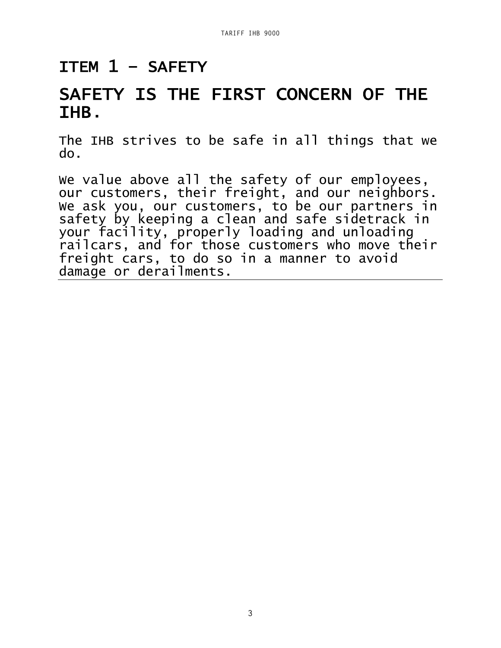## ITEM 1 – SAFETY

# SAFETY IS THE FIRST CONCERN OF THE IHB.

The IHB strives to be safe in all things that we do.

We value above all the safety of our employees, our customers, their freight, and our neighbors. We ask you, our customers, to be our partners in safety by keeping a clean and safe sidetrack in your facility, properly loading and unloading railcars, and for those customers who move their freight cars, to do so in a manner to avoid damage or derailments.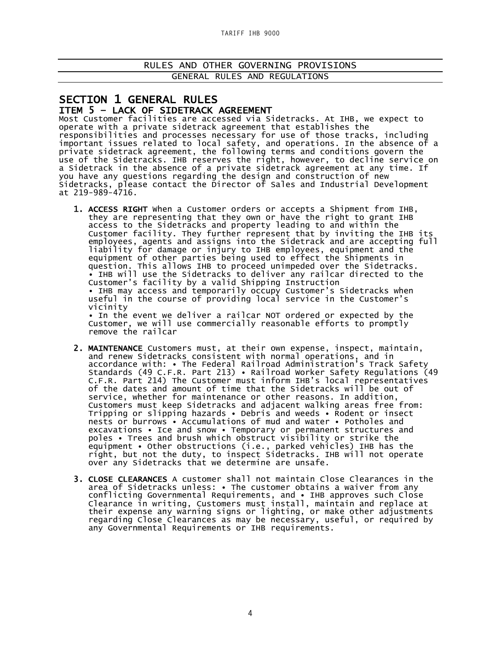RULES AND OTHER GOVERNING PROVISIONS GENERAL RULES AND REGULATIONS

# SECTION 1 GENERAL RULES<br>ITEM 5 – LACK OF SIDETRACK AGREEMENT<br>Most Customer facilities are accessed via Sidetracks. At IHB, we expect to

operate with a private sidetrack agreement that establishes the responsibilities and processes necessary for use of those tracks, including important issues related to local safety, and operations. In the absence of a private sidetrack agreement, the following terms and conditions govern the use of the Sidetracks. IHB reserves the right, however, to decline service on a Sidetrack in the absence of a private sidetrack agreement at any time. If you have any questions regarding the design and construction of new Sidetracks, please contact the Director of Sales and Industrial Development at 219-989-4716.

1. ACCESS RIGHT When a Customer orders or accepts a Shipment from IHB, they are representing that they own or have the right to grant IHB access to the Sidetracks and property leading to and within the Customer facility. They further represent that by inviting the IHB its employees, agents and assigns into the Sidetrack and are accepting full liability for damage or injury to IHB employees, equipment and the equipment of other parties being used to effect the Shipments in question. This allows IHB to proceed unimpeded over the Sidetracks. • IHB will use the Sidetracks to deliver any railcar directed to the Customer's facility by a valid Shipping Instruction • IHB may access and temporarily occupy Customer's Sidetracks when useful in the course of providing local service in the Customer's vicinity

• In the event we deliver a railcar NOT ordered or expected by the Customer, we will use commercially reasonable efforts to promptly remove the railcar

- 2. MAINTENANCE Customers must, at their own expense, inspect, maintain, and renew Sidetracks consistent with normal operations, and in accordance with: • The Federal Railroad Administration's Track Safety Standards (49 C.F.R. Part 213) • Railroad Worker Safety Regulations (49 C.F.R. Part 214) The Customer must inform IHB's local representatives of the dates and amount of time that the Sidetracks will be out of service, whether for maintenance or other reasons. In addition, Customers must keep Sidetracks and adjacent walking areas free from: Tripping or slipping hazards • Debris and weeds • Rodent or insect nests or burrows • Accumulations of mud and water • Potholes and excavations • Ice and snow • Temporary or permanent structures and poles • Trees and brush which obstruct visibility or strike the equipment • Other obstructions (i.e., parked vehicles) IHB has the right, but not the duty, to inspect Sidetracks. IHB will not operate over any Sidetracks that we determine are unsafe.
- 3. CLOSE CLEARANCES A customer shall not maintain Close Clearances in the area of Sidetracks unless: • The customer obtains a waiver from any conflicting Governmental Requirements, and • IHB approves such Close Clearance in writing, Customers must install, maintain and replace at their expense any warning signs or lighting, or make other adjustments regarding Close Clearances as may be necessary, useful, or required by any Governmental Requirements or IHB requirements.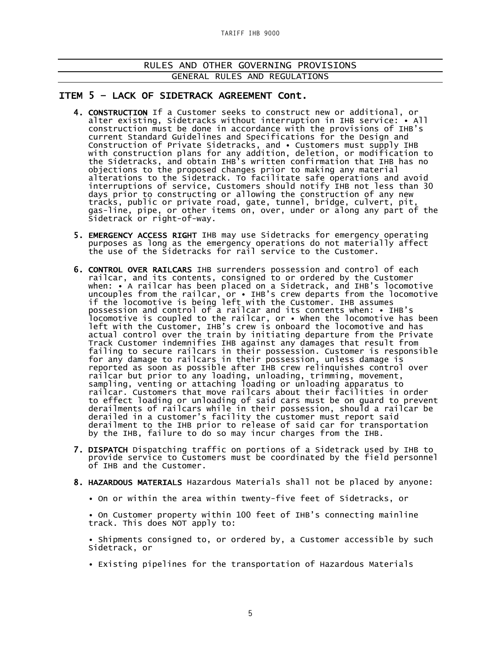### ITEM 5 – LACK OF SIDETRACK AGREEMENT Cont.

- 4. CONSTRUCTION If a Customer seeks to construct new or additional, or alter existing, Sidetracks without interruption in IHB service: • All construction must be done in accordance with the provisions of IHB's current Standard Guidelines and Specifications for the Design and Construction of Private Sidetracks, and • Customers must supply IHB with construction plans for any addition, deletion, or modification to the Sidetracks, and obtain IHB's written confirmation that IHB has no objections to the proposed changes prior to making any material alterations to the Sidetrack. To facilitate safe operations and avoid interruptions of service, Customers should notify IHB not less than 30 days prior to constructing or allowing the construction of any new tracks, public or private road, gate, tunnel, bridge, culvert, pit, gas-line, pipe, or other items on, over, under or along any part of the Sidetrack or right-of-way.
- 5. EMERGENCY ACCESS RIGHT IHB may use Sidetracks for emergency operating purposes as long as the emergency operations do not materially affect the use of the Sidetracks for rail service to the Customer.
- 6. CONTROL OVER RAILCARS IHB surrenders possession and control of each railcar, and its contents, consigned to or ordered by the Customer when: • A railcar has been placed on a Sidetrack, and IHB's locomotive uncouples from the railcar, or • IHB's crew departs from the locomotive if the locomotive is being left with the Customer. IHB assumes possession and control of a railcar and its contents when: • IHB's locomotive is coupled to the railcar, or • When the locomotive has been left with the Customer, IHB's crew is onboard the locomotive and has actual control over the train by initiating departure from the Private Track Customer indemnifies IHB against any damages that result from failing to secure railcars in their possession. Customer is responsible for any damage to railcars in their possession, unless damage is reported as soon as possible after IHB crew relinquishes control over railcar but prior to any loading, unloading, trimming, movement, sampling, venting or attaching loading or unloading apparatus to railcar. Customers that move railcars about their facilities in order to effect loading or unloading of said cars must be on guard to prevent derailments of railcars while in their possession, should a railcar be derailed in a customer's facility the customer must report said derailment to the IHB prior to release of said car for transportation by the IHB, failure to do so may incur charges from the IHB.
	- 7. DISPATCH Dispatching traffic on portions of a Sidetrack used by IHB to provide service to Customers must be coordinated by the field personnel of IHB and the Customer.
	- 8. HAZARDOUS MATERIALS Hazardous Materials shall not be placed by anyone:
		- On or within the area within twenty-five feet of Sidetracks, or

• On Customer property within 100 feet of IHB's connecting mainline track. This does NOT apply to:

• Shipments consigned to, or ordered by, a Customer accessible by such Sidetrack, or

• Existing pipelines for the transportation of Hazardous Materials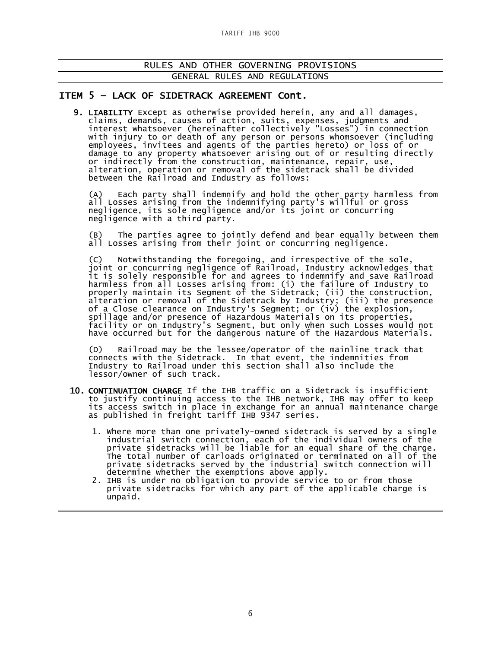### ITEM 5 – LACK OF SIDETRACK AGREEMENT Cont.

9. LIABILITY Except as otherwise provided herein, any and all damages, claims, demands, causes of action, suits, expenses, judgments and interest whatsoever (hereinafter collectively "Losses") in connection with injury to or death of any person or persons whomsoever (including employees, invitees and agents of the parties hereto) or loss of or damage to any property whatsoever arising out of or resulting directly or indirectly from the construction, maintenance, repair, use, alteration, operation or removal of the sidetrack shall be divided between the Railroad and Industry as follows:

(A) Each party shall indemnify and hold the other party harmless from all Losses arising from the indemnifying party's willful or gross negligence, its sole negligence and/or its joint or concurring negligence with a third party.

(B) The parties agree to jointly defend and bear equally between them all Losses arising from their joint or concurring negligence.

(C) Notwithstanding the foregoing, and irrespective of the sole, joint or concurring negligence of Railroad, Industry acknowledges that it is solely responsible for and agrees to indemnify and save Railroad harmless from all Losses arising from: (i) the failure of Industry to properly maintain its Segment of the Sidetrack; (ii) the construction, alteration or removal of the Sidetrack by Industry; (iii) the presence of a Close clearance on Industry's Segment; or (iv) the explosion, spillage and/or presence of Hazardous Materials on its properties, facility or on Industry's Segment, but only when such Losses would not have occurred but for the dangerous nature of the Hazardous Materials.

(D) Railroad may be the lessee/operator of the mainline track that connects with the Sidetrack. In that event, the indemnities from Industry to Railroad under this section shall also include the lessor/owner of such track.

- 10. CONTINUATION CHARGE If the IHB traffic on a Sidetrack is insufficient to justify continuing access to the IHB network, IHB may offer to keep its access switch in place in exchange for an annual maintenance charge as published in freight tariff IHB 9347 series.
	- 1. Where more than one privately-owned sidetrack is served by a single industrial switch connection, each of the individual owners of the private sidetracks will be liable for an equal share of the charge. The total number of carloads originated or terminated on all of the private sidetracks served by the industrial switch connection will determine whether the exemptions above apply.
	- 2. IHB is under no obligation to provide service to or from those private sidetracks for which any part of the applicable charge is unpaid.

Ξ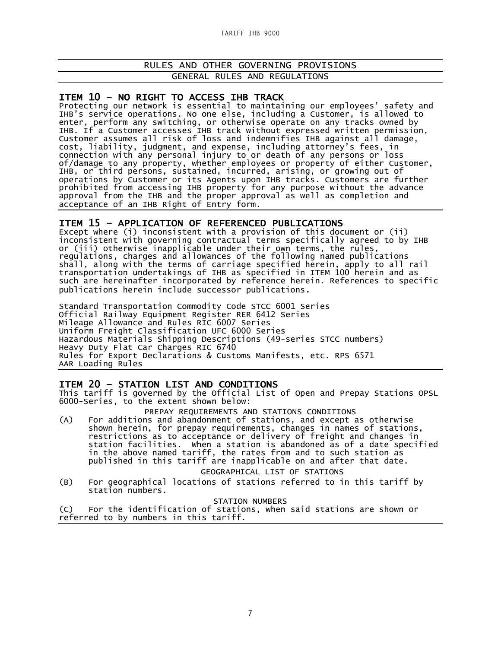ITEM 10 - NO RIGHT TO ACCESS IHB TRACK<br>Protecting our network is essential to maintaining our employees' safety and IHB's service operations. No one else, including a Customer, is allowed to enter, perform any switching, or otherwise operate on any tracks owned by IHB. If a Customer accesses IHB track without expressed written permission, Customer assumes all risk of loss and indemnifies IHB against all damage, cost, liability, judgment, and expense, including attorney's fees, in connection with any personal injury to or death of any persons or loss of/damage to any property, whether employees or property of either Customer, IHB, or third persons, sustained, incurred, arising, or growing out of operations by Customer or its Agents upon IHB tracks. Customers are further prohibited from accessing IHB property for any purpose without the advance approval from the IHB and the proper approval as well as completion and acceptance of an IHB Right of Entry form.

ITEM 15 – APPLICATION OF REFERENCED PUBLICATIONS Except where (i) inconsistent with a provision of this document or (ii) inconsistent with governing contractual terms specifically agreed to by IHB or (iii) otherwise inapplicable under their own terms, the rules, regulations, charges and allowances of the following named publications shall, along with the terms of carriage specified herein, apply to all rail transportation undertakings of IHB as specified in ITEM 100 herein and as such are hereinafter incorporated by reference herein. References to specific publications herein include successor publications.

Standard Transportation Commodity Code STCC 6001 Series Official Railway Equipment Register RER 6412 Series Mileage Allowance and Rules RIC 6007 Series Uniform Freight Classification UFC 6000 Series Hazardous Materials Shipping Descriptions (49-series STCC numbers) Heavy Duty Flat Car Charges RIC 6740 Rules for Export Declarations & Customs Manifests, etc. RPS 6571 AAR Loading Rules

**ITEM 20 – STATION LIST AND CONDITIONS**<br>This tariff is governed by the Official List of Open and Prepay Stations OPSL 6000-Series, to the extent shown below:

PREPAY REQUIREMENTS AND STATIONS CONDITIONS

(A) For additions and abandonment of stations, and except as otherwise shown herein, for prepay requirements, changes in names of stations, restrictions as to acceptance or delivery of freight and changes in station facilities. When a station is abandoned as of a date specified in the above named tariff, the rates from and to such station as published in this tariff are inapplicable on and after that date.

GEOGRAPHICAL LIST OF STATIONS

(B) For geographical locations of stations referred to in this tariff by station numbers.

STATION NUMBERS

(C) For the identification of stations, when said stations are shown or referred to by numbers in this tariff.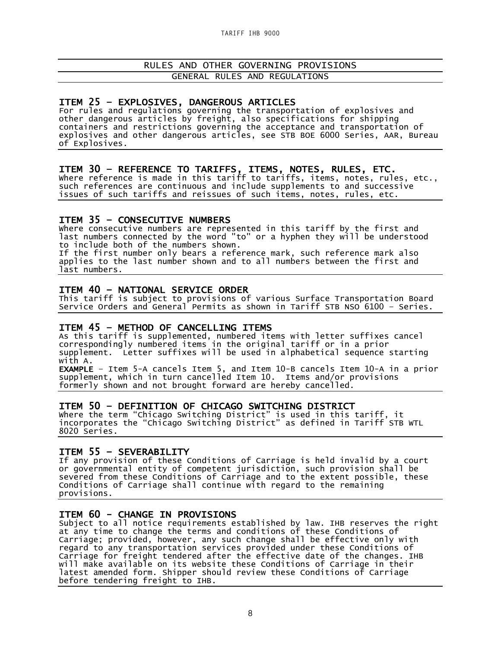ITEM 25 - EXPLOSIVES, DANGEROUS ARTICLES<br>For rules and regulations governing the transportation of explosives and other dangerous articles by freight, also specifications for shipping containers and restrictions governing the acceptance and transportation of explosives and other dangerous articles, see STB BOE 6000 Series, AAR, Bureau of Explosives.

ITEM 30 - REFERENCE TO TARIFFS, ITEMS, NOTES, RULES, ETC.<br>Where reference is made in this tariff to tariffs, items, notes, rules, etc., such references are continuous and include supplements to and successive issues of such tariffs and reissues of such items, notes, rules, etc.

**ITEM 35 - CONSECUTIVE NUMBERS**<br>where consecutive numbers are represented in this tariff by the first and last numbers connected by the word "to" or a hyphen they will be understood to include both of the numbers shown.

If the first number only bears a reference mark, such reference mark also applies to the last number shown and to all numbers between the first and last numbers.

**ITEM 40 – NATIONAL SERVICE ORDER**<br>This tariff is subject to provisions of various Surface Transportation Board Service Orders and General Permits as shown in Tariff STB NSO 6100 – Series.

**ITEM 45 - METHOD OF CANCELLING ITEMS**<br>As this tariff is supplemented, numbered items with letter suffixes cancel correspondingly numbered items in the original tariff or in a prior supplement. Letter suffixes will be used in alphabetical sequence starting with A.

EXAMPLE – Item 5-A cancels Item 5, and Item 10-B cancels Item 10-A in a prior supplement, which in turn cancelled Item 10. Items and/or provisions formerly shown and not brought forward are hereby cancelled.

ITEM 50 – DEFINITION OF CHICAGO SWITCHING DISTRICT Where the term "Chicago Switching District" is used in this tariff, it incorporates the "Chicago Switching District" as defined in Tariff STB WTL 8020 Series.

### ITEM 55 – SEVERABILITY

If any provision of these Conditions of Carriage is held invalid by a court or governmental entity of competent jurisdiction, such provision shall be severed from these Conditions of Carriage and to the extent possible, these Conditions of Carriage shall continue with regard to the remaining provisions.

### ITEM 60 - CHANGE IN PROVISIONS

Subject to all notice requirements established by law. IHB reserves the right at any time to change the terms and conditions of these Conditions of Carriage; provided, however, any such change shall be effective only with regard to any transportation services provided under these Conditions of Carriage for freight tendered after the effective date of the changes. IHB will make available on its website these Conditions of Carriage in their latest amended form. Shipper should review these Conditions of Carriage before tendering freight to IHB.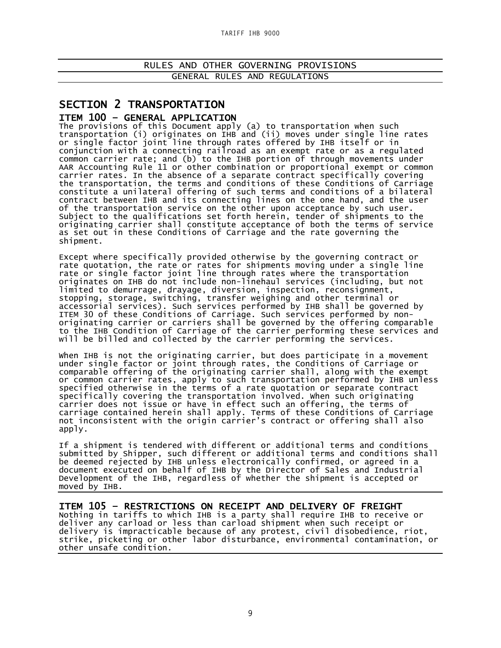# SECTION 2 TRANSPORTATION

**ITEM 100 - GENERAL APPLICATION**<br>The provisions of this Document apply (a) to transportation when such transportation (i) originates on IHB and (ii) moves under single line rates or single factor joint line through rates offered by IHB itself or in conjunction with a connecting railroad as an exempt rate or as a regulated common carrier rate; and (b) to the IHB portion of through movements under AAR Accounting Rule 11 or other combination or proportional exempt or common carrier rates. In the absence of a separate contract specifically covering the transportation, the terms and conditions of these Conditions of Carriage constitute a unilateral offering of such terms and conditions of a bilateral contract between IHB and its connecting lines on the one hand, and the user of the transportation service on the other upon acceptance by such user. Subject to the qualifications set forth herein, tender of shipments to the originating carrier shall constitute acceptance of both the terms of service as set out in these Conditions of Carriage and the rate governing the shipment.

Except where specifically provided otherwise by the governing contract or rate quotation, the rate or rates for shipments moving under a single line rate or single factor joint line through rates where the transportation originates on IHB do not include non-linehaul services (including, but not limited to demurrage, drayage, diversion, inspection, reconsignment, stopping, storage, switching, transfer weighing and other terminal or accessorial services). Such services performed by IHB shall be governed by ITEM 30 of these Conditions of Carriage. Such services performed by nonoriginating carrier or carriers shall be governed by the offering comparable to the IHB Condition of Carriage of the carrier performing these services and will be billed and collected by the carrier performing the services.

When IHB is not the originating carrier, but does participate in a movement under single factor or joint through rates, the Conditions of Carriage or comparable offering of the originating carrier shall, along with the exempt or common carrier rates, apply to such transportation performed by IHB unless specified otherwise in the terms of a rate quotation or separate contract specifically covering the transportation involved. When such originating carrier does not issue or have in effect such an offering, the terms of carriage contained herein shall apply. Terms of these Conditions of Carriage not inconsistent with the origin carrier's contract or offering shall also apply.

If a shipment is tendered with different or additional terms and conditions submitted by Shipper, such different or additional terms and conditions shall be deemed rejected by IHB unless electronically confirmed, or agreed in a document executed on behalf of IHB by the Director of Sales and Industrial Development of the IHB, regardless of whether the shipment is accepted or moved by IHB.

**ITEM 105 - RESTRICTIONS ON RECEIPT AND DELIVERY OF FREIGHT**<br>Nothing in tariffs to which IHB is a party shall require IHB to receive or deliver any carload or less than carload shipment when such receipt or delivery is impracticable because of any protest, civil disobedience, riot, strike, picketing or other labor disturbance, environmental contamination, or other unsafe condition.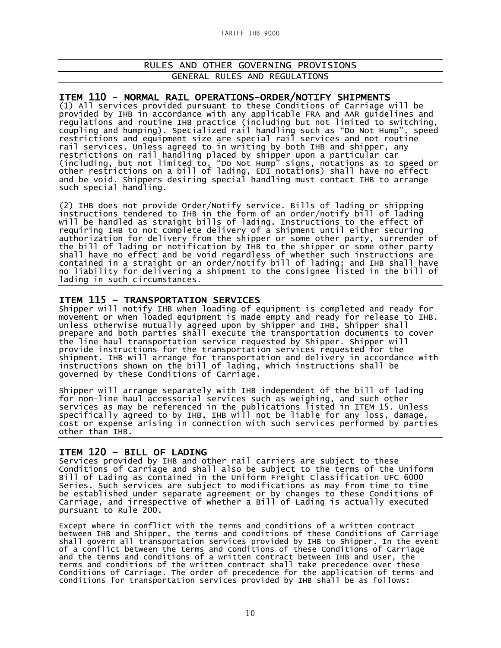#### ITEM 110 - NORMAL RAIL OPERATIONS-ORDER/NOTIFY SHIPMENTS

(1) All services provided pursuant to these Conditions of Carriage will be provided by IHB in accordance with any applicable FRA and AAR guidelines and regulations and routine IHB practice (including but not limited to switching, regulations and routine IHB practice (including but not limited to switching, coupling and humping). Specialized rail handling such as "Do Not Hump", speed restrictions and equipment size are special rail services and not routine rail services. Unless agreed to in writing by both IHB and shipper, any restrictions on rail handling placed by shipper upon a particular car (including, but not limited to, "Do Not Hump" signs, notations as to speed or other restrictions on a bill of lading, EDI notations) shall have no effect and be void. Shippers desiring special handling must contact IHB to arrange such special handling.

(2) IHB does not provide Order/Notify service. Bills of lading or shipping instructions tendered to IHB in the form of an order/notify bill of lading will be handled as straight bills of lading. Instructions to the effect of requiring IHB to not complete delivery of a shipment until either securing authorization for delivery from the shipper or some other party, surrender of the bill of lading or notification by IHB to the shipper or some other party shall have no effect and be void regardless of whether such instructions are contained in a straight or an order/notify bill of lading; and IHB shall have no liability for delivering a shipment to the consignee listed in the bill of lading in such circumstances.

#### Ξ ITEM 115 – TRANSPORTATION SERVICES

Shipper will notify IHB when loading of equipment is completed and ready for movement or when loaded equipment is made empty and ready for release to IHB. Unless otherwise mutually agreed upon by Shipper and IHB, Shipper shall prepare and both parties shall execute the transportation documents to cover the line haul transportation service requested by Shipper. Shipper will provide instructions for the transportation services requested for the shipment. IHB will arrange for transportation and delivery in accordance with instructions shown on the bill of lading, which instructions shall be governed by these Conditions of Carriage.

Shipper will arrange separately with IHB independent of the bill of lading for non-line haul accessorial services such as weighing, and such other services as may be referenced in the publications listed in ITEM 15. Unless specifically agreed to by IHB, IHB will not be liable for any loss, damage, cost or expense arising in connection with such services performed by parties other than IHB.

# Ξ

**ITEM 120 - BILL OF LADING**<br>Services provided by IHB and other rail carriers are subject to these Conditions of Carriage and shall also be subject to the terms of the Uniform Bill of Lading as contained in the Uniform Freight Classification UFC 6000 Series. Such services are subject to modifications as may from time to time be established under separate agreement or by changes to these Conditions of Carriage, and irrespective of whether a Bill of Lading is actually executed pursuant to Rule 200.

Except where in conflict with the terms and conditions of a written contract between IHB and Shipper, the terms and conditions of these Conditions of Carriage shall govern all transportation services provided by IHB to Shipper. In the event of a conflict between the terms and conditions of these Conditions of Carriage and the terms and conditions of a written contract between IHB and User, the terms and conditions of the written contract shall take precedence over these Conditions of Carriage. The order of precedence for the application of terms and conditions for transportation services provided by IHB shall be as follows: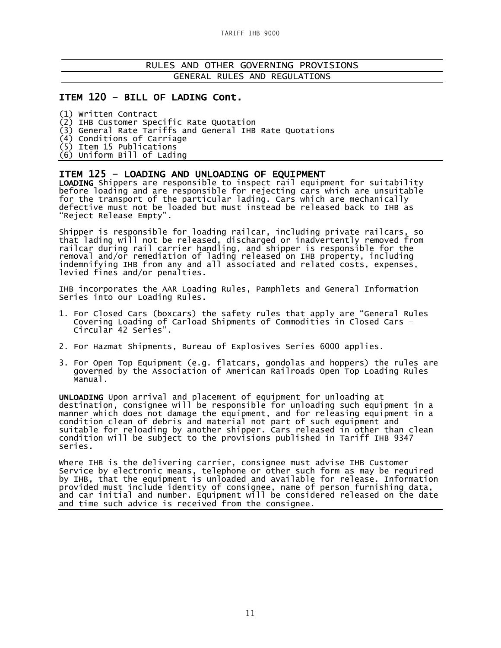### ITEM 120 – BILL OF LADING Cont.

(1) Written Contract

(2) IHB Customer Specific Rate Quotation

(3) General Rate Tariffs and General IHB Rate Quotations

(4) Conditions of Carriage

(5) Item 15 Publications

(6) Uniform Bill of Lading

ITEM 125 - LOADING AND UNLOADING OF EQUIPMENT<br>LOADING Shippers are responsible to inspect rail equipment for suitability before loading and are responsible for rejecting cars which are unsuitable for the transport of the particular lading. Cars which are mechanically defective must not be loaded but must instead be released back to IHB as "Reject Release Empty".

Shipper is responsible for loading railcar, including private railcars, so that lading will not be released, discharged or inadvertently removed from railcar during rail carrier handling, and shipper is responsible for the removal and/or remediation of lading released on IHB property, including indemnifying IHB from any and all associated and related costs, expenses, levied fines and/or penalties.

IHB incorporates the AAR Loading Rules, Pamphlets and General Information Series into our Loading Rules.

- 1. For Closed Cars (boxcars) the safety rules that apply are "General Rules Covering Loading of Carload Shipments of Commodities in Closed Cars – Circular 42 Series".
- 2. For Hazmat Shipments, Bureau of Explosives Series 6000 applies.
- 3. For Open Top Equipment (e.g. flatcars, gondolas and hoppers) the rules are governed by the Association of American Railroads Open Top Loading Rules Manual.

UNLOADING Upon arrival and placement of equipment for unloading at destination, consignee will be responsible for unloading such equipment in a manner which does not damage the equipment, and for releasing equipment in a condition clean of debris and material not part of such equipment and suitable for reloading by another shipper. Cars released in other than clean condition will be subject to the provisions published in Tariff IHB 9347 series.

Where IHB is the delivering carrier, consignee must advise IHB Customer Service by electronic means, telephone or other such form as may be required by IHB, that the equipment is unloaded and available for release. Information provided must include identity of consignee, name of person furnishing data, and car initial and number. Equipment will be considered released on the date and time such advice is received from the consignee.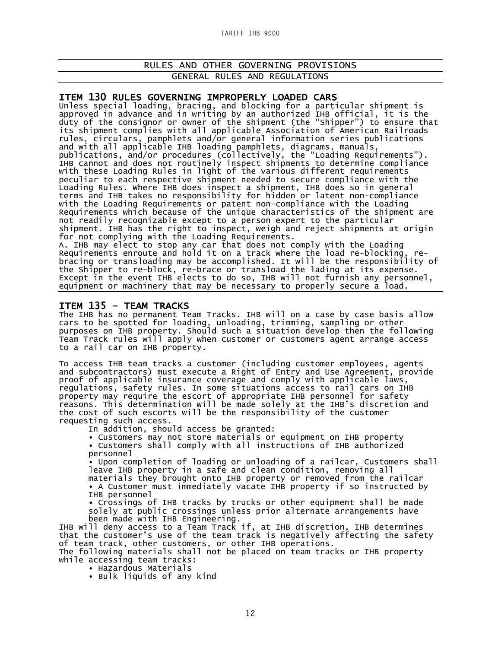**ITEM 130 RULES GOVERNING IMPROPERLY LOADED CARS**<br>Unless special loading, bracing, and blocking for a particular shipment is approved in advance and in writing by an authorized IHB official, it is the duty of the consignor or owner of the shipment (the "Shipper") to ensure that its shipment complies with all applicable Association of American Railroads rules, circulars, pamphlets and/or general information series publications and with all applicable IHB loading pamphlets, diagrams, manuals, publications, and/or procedures (collectively, the "Loading Requirements"). IHB cannot and does not routinely inspect shipments to determine compliance with these Loading Rules in light of the various different requirements peculiar to each respective shipment needed to secure compliance with the Loading Rules. Where IHB does inspect a shipment, IHB does so in general terms and IHB takes no responsibility for hidden or latent non-compliance with the Loading Requirements or patent non-compliance with the Loading Requirements which because of the unique characteristics of the shipment are not readily recognizable except to a person expert to the particular shipment. IHB has the right to inspect, weigh and reject shipments at origin for not complying with the Loading Requirements.

A. IHB may elect to stop any car that does not comply with the Loading<br>Requirements enroute and hold it on a track where the load re-blocking, Requirements enroute and hold it on a track where the load re-blocking, re-<br>bracing or transloading may be accomplished. It will be the responsibility of the Shipper to re-block, re-brace or transload the lading at its expense. Except in the event IHB elects to do so, IHB will not furnish any personnel, equipment or machinery that may be necessary to properly secure a load.

**ITEM 135 - TEAM TRACKS**<br>The IHB has no permanent Team Tracks. IHB will on a case by case basis allow cars to be spotted for loading, unloading, trimming, sampling or other purposes on IHB property. Should such a situation develop then the following Team Track rules will apply when customer or customers agent arrange access to a rail car on IHB property.

To access IHB team tracks a customer (including customer employees, agents and subcontractors) must execute a Right of Entry and Use Agreement, provide proof of applicable insurance coverage and comply with applicable laws, regulations, safety rules. In some situations access to rail cars on IHB property may require the escort of appropriate IHB personnel for safety reasons. This determination will be made solely at the IHB's discretion and the cost of such escorts will be the responsibility of the customer requesting such access.

In addition, should access be granted:

• Customers may not store materials or equipment on IHB property • Customers shall comply with all instructions of IHB authorized personnel

• Upon completion of loading or unloading of a railcar, Customers shall leave IHB property in a safe and clean condition, removing all materials they brought onto IHB property or removed from the railcar • A Customer must immediately vacate IHB property if so instructed by IHB personnel

• Crossings of IHB tracks by trucks or other equipment shall be made solely at public crossings unless prior alternate arrangements have been made with IHB Engineering.

IHB will deny access to a Team Track if, at IHB discretion, IHB determines that the customer's use of the team track is negatively affecting the safety of team track, other customers, or other IHB operations.

The following materials shall not be placed on team tracks or IHB property while accessing team tracks:

• Hazardous Materials

• Bulk liquids of any kind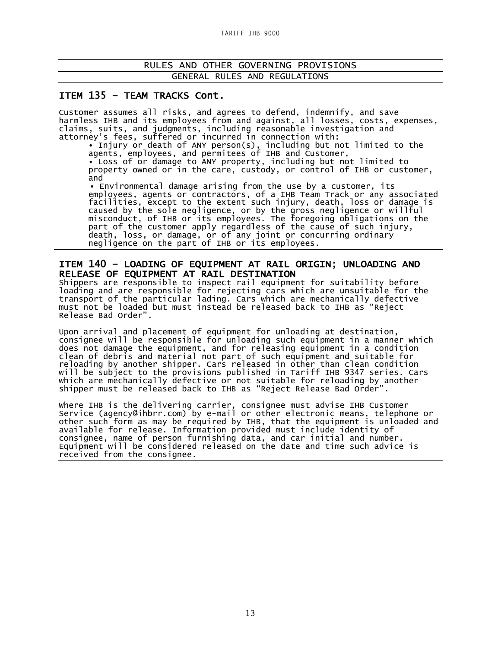### ITEM 135 – TEAM TRACKS Cont.

Customer assumes all risks, and agrees to defend, indemnify, and save harmless IHB and its employees from and against, all losses, costs, expenses, claims, suits, and judgments, including reasonable investigation and attorney's fees, suffered or incurred in connection with:

• Injury or death of ANY person(s), including but not limited to the agents, employees, and permitees of IHB and Customer, • Loss of or damage to ANY property, including but not limited to property owned or in the care, custody, or control of IHB or customer, and

 • Environmental damage arising from the use by a customer, its employees, agents or contractors, of a IHB Team Track or any associated facilities, except to the extent such injury, death, loss or damage is caused by the sole negligence, or by the gross negligence or willful misconduct, of IHB or its employees. The foregoing obligations on the part of the customer apply regardless of the cause of such injury, death, loss, or damage, or of any joint or concurring ordinary negligence on the part of IHB or its employees.

### ITEM 140 – LOADING OF EQUIPMENT AT RAIL ORIGIN; UNLOADING AND RELEASE OF EQUIPMENT AT RAIL DESTINATION<br>Shippers are responsible to inspect rail equipment for suitability before

loading and are responsible for rejecting cars which are unsuitable for the transport of the particular lading. Cars which are mechanically defective must not be loaded but must instead be released back to IHB as "Reject Release Bad Order".

Upon arrival and placement of equipment for unloading at destination, consignee will be responsible for unloading such equipment in a manner which does not damage the equipment, and for releasing equipment in a condition clean of debris and material not part of such equipment and suitable for reloading by another shipper. Cars released in other than clean condition will be subject to the provisions published in Tariff IHB 9347 series. Cars which are mechanically defective or not suitable for reloading by another shipper must be released back to IHB as "Reject Release Bad Order".

Where IHB is the delivering carrier, consignee must advise IHB Customer Service (agency@ihbrr.com) by e-mail or other electronic means, telephone or other such form as may be required by IHB, that the equipment is unloaded and available for release. Information provided must include identity of consignee, name of person furnishing data, and car initial and number. Equipment will be considered released on the date and time such advice is received from the consignee.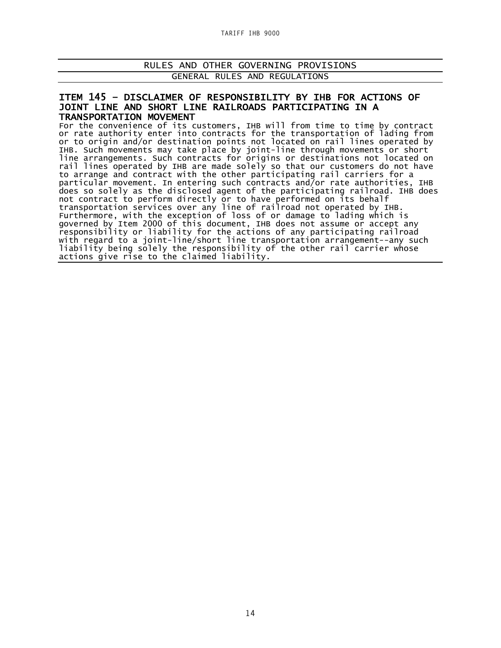**TARIFF IHB 9000**

#### RULES AND OTHER GOVERNING PROVISIONS GENERAL RULES AND REGULATIONS

## ITEM 145 – DISCLAIMER OF RESPONSIBILITY BY IHB FOR ACTIONS OF JOINT LINE AND SHORT LINE RAILROADS PARTICIPATING IN A

**TRANSPORTATION MOVEMENT**<br>For the convenience of its customers, IHB will from time to time by contract or rate authority enter into contracts for the transportation of lading from or to origin and/or destination points not located on rail lines operated by IHB. Such movements may take place by joint-line through movements or short line arrangements. Such contracts for origins or destinations not located on rail lines operated by IHB are made solely so that our customers do not have to arrange and contract with the other participating rail carriers for a particular movement. In entering such contracts and/or rate authorities, IHB does so solely as the disclosed agent of the participating railroad. IHB does not contract to perform directly or to have performed on its behalf transportation services over any line of railroad not operated by IHB. Furthermore, with the exception of loss of or damage to lading which is governed by Item 2000 of this document, IHB does not assume or accept any responsibility or liability for the actions of any participating railroad with regard to a joint-line/short line transportation arrangement--any such liability being solely the responsibility of the other rail carrier whose actions give rise to the claimed liability.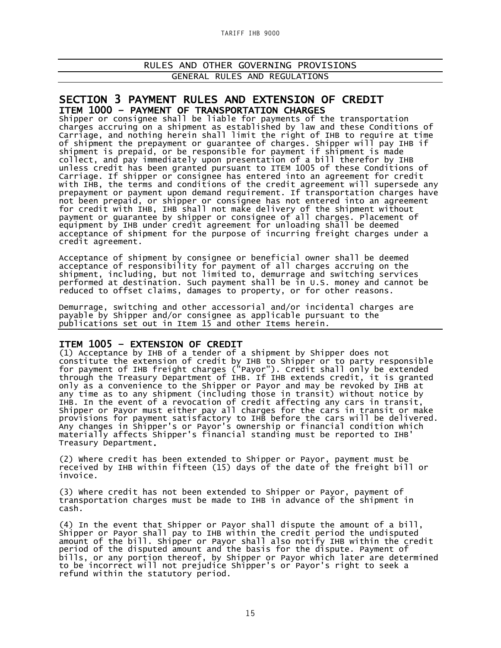**TARIFF IHB 9000**

### RULES AND OTHER GOVERNING PROVISIONS GENERAL RULES AND REGULATIONS

# SECTION 3 PAYMENT RULES AND EXTENSION OF CREDIT<br>ITEM 1000 – PAYMENT OF TRANSPORTATION CHARGES<br>Shipper or consignee shall be liable for payments of the transportation

charges accruing on a shipment as established by law and these Conditions of Carriage, and nothing herein shall limit the right of IHB to require at time of shipment the prepayment or guarantee of charges. Shipper will pay IHB if shipment is prepaid, or be responsible for payment if shipment is made collect, and pay immediately upon presentation of a bill therefor by IHB unless credit has been granted pursuant to ITEM 1005 of these Conditions of Carriage. If shipper or consignee has entered into an agreement for credit with IHB, the terms and conditions of the credit agreement will supersede any prepayment or payment upon demand requirement. If transportation charges have not been prepaid, or shipper or consignee has not entered into an agreement for credit with IHB, IHB shall not make delivery of the shipment without payment or guarantee by shipper or consignee of all charges. Placement of equipment by IHB under credit agreement for unloading shall be deemed acceptance of shipment for the purpose of incurring freight charges under a credit agreement.

Acceptance of shipment by consignee or beneficial owner shall be deemed acceptance of responsibility for payment of all charges accruing on the shipment, including, but not limited to, demurrage and switching services performed at destination. Such payment shall be in U.S. money and cannot be reduced to offset claims, damages to property, or for other reasons.

Demurrage, switching and other accessorial and/or incidental charges are payable by Shipper and/or consignee as applicable pursuant to the publications set out in Item 15 and other Items herein.

#### Ξ ITEM 1005 – EXTENSION OF CREDIT

(1) Acceptance by IHB of a tender of a shipment by Shipper does not constitute the extension of credit by IHB to Shipper or to party responsible for payment of IHB freight charges ("Payor"). Credit shall only be extended through the Treasury Department of IHB. If IHB extends credit, it is granted only as a convenience to the Shipper or Payor and may be revoked by IHB at any time as to any shipment (including those in transit) without notice by IHB. In the event of a revocation of credit affecting any cars in transit, Shipper or Payor must either pay all charges for the cars in transit or make provisions for payment satisfactory to IHB before the cars will be delivered. Any changes in Shipper's or Payor's ownership or financial condition which materially affects Shipper's financial standing must be reported to IHB' Treasury Department.

(2) Where credit has been extended to Shipper or Payor, payment must be received by IHB within fifteen (15) days of the date of the freight bill or invoice.

(3) Where credit has not been extended to Shipper or Payor, payment of transportation charges must be made to IHB in advance of the shipment in cash.

(4) In the event that Shipper or Payor shall dispute the amount of a bill, Shipper or Payor shall pay to IHB within the credit period the undisputed amount of the bill. Shipper or Payor shall also notify IHB within the credit period of the disputed amount and the basis for the dispute. Payment of bills, or any portion thereof, by Shipper or Payor which later are determined to be incorrect will not prejudice Shipper's or Payor's right to seek a refund within the statutory period.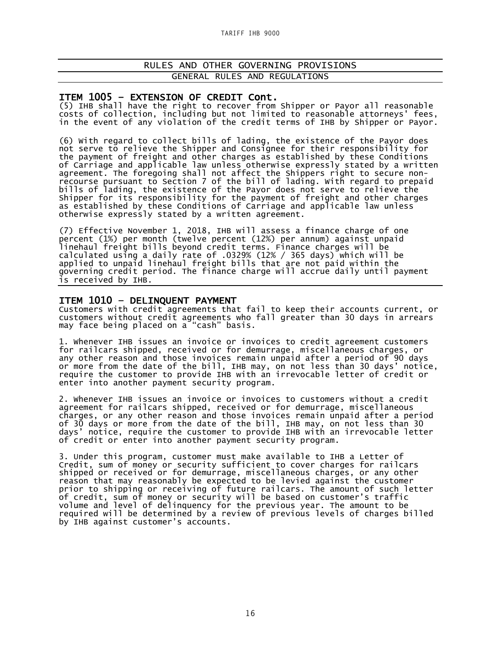#### ITEM 1005 – EXTENSION OF CREDIT Cont.

(5) IHB shall have the right to recover from Shipper or Payor all reasonable costs of collection, including but not limited to reasonable attorneys' fees, in the event of any violation of the credit terms of IHB by Shipper or Payor.

(6) With regard to collect bills of lading, the existence of the Payor does not serve to relieve the Shipper and Consignee for their responsibility for the payment of freight and other charges as established by these Conditions of Carriage and applicable law unless otherwise expressly stated by a written agreement. The foregoing shall not affect the Shippers right to secure nonrecourse pursuant to Section 7 of the bill of lading. With regard to prepaid bills of lading, the existence of the Payor does not serve to relieve the Shipper for its responsibility for the payment of freight and other charges as established by these Conditions of Carriage and applicable law unless otherwise expressly stated by a written agreement.

(7) Effective November 1, 2018, IHB will assess a finance charge of one percent (1%) per month (twelve percent (12%) per annum) against unpaid linehaul freight bills beyond credit terms. Finance charges will be calculated using a daily rate of .0329% (12% / 365 days) which will be applied to unpaid linehaul freight bills that are not paid within the governing credit period. The finance charge will accrue daily until payment is received by IHB.

**ITEM 1010 - DELINQUENT PAYMENT**<br>Customers with credit agreements that fail to keep their accounts current, or customers without credit agreements who fall greater than 30 days in arrears may face being placed on a "cash" basis.

1. Whenever IHB issues an invoice or invoices to credit agreement customers for railcars shipped, received or for demurrage, miscellaneous charges, or any other reason and those invoices remain unpaid after a period of 90 days or more from the date of the bill, IHB may, on not less than 30 days' notice, require the customer to provide IHB with an irrevocable letter of credit or enter into another payment security program.

2. Whenever IHB issues an invoice or invoices to customers without a credit agreement for railcars shipped, received or for demurrage, miscellaneous charges, or any other reason and those invoices remain unpaid after a period of 30 days or more from the date of the bill, IHB may, on not less than 30 days' notice, require the customer to provide IHB with an irrevocable letter of credit or enter into another payment security program.

3. Under this program, customer must make available to IHB a Letter of Credit, sum of money or security sufficient to cover charges for railcars shipped or received or for demurrage, miscellaneous charges, or any other reason that may reasonably be expected to be levied against the customer prior to shipping or receiving of future railcars. The amount of such letter of credit, sum of money or security will be based on customer's traffic volume and level of delinquency for the previous year. The amount to be required will be determined by a review of previous levels of charges billed by IHB against customer's accounts.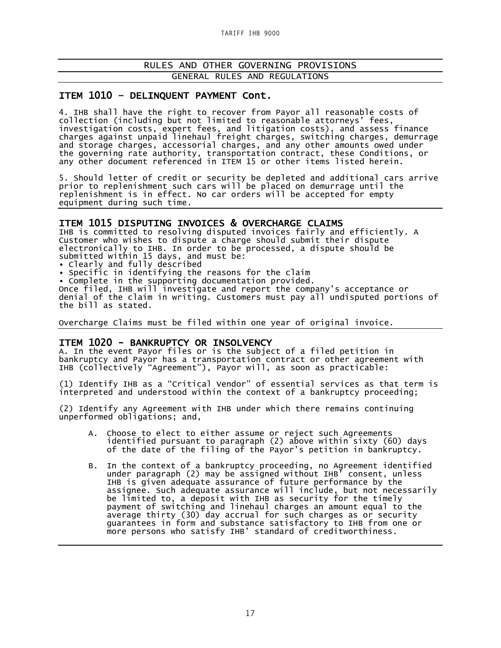### ITEM 1010 – DELINQUENT PAYMENT Cont.

4. IHB shall have the right to recover from Payor all reasonable costs of collection (including but not limited to reasonable attorneys' fees, investigation costs, expert fees, and litigation costs), and assess finance charges against unpaid linehaul freight charges, switching charges, demurrage and storage charges, accessorial charges, and any other amounts owed under the governing rate authority, transportation contract, these Conditions, or any other document referenced in ITEM 15 or other items listed herein.

5. Should letter of credit or security be depleted and additional cars arrive prior to replenishment such cars will be placed on demurrage until the replenishment is in effect. No car orders will be accepted for empty equipment during such time.

ITEM 1015 DISPUTING INVOICES & OVERCHARGE CLAIMS<br>IHB is committed to resolving disputed invoices fairly and efficiently. A Customer who wishes to dispute a charge should submit their dispute electronically to IHB. In order to be processed, a dispute should be submitted within 15 days, and must be:

• Clearly and fully described

• Specific in identifying the reasons for the claim

• Complete in the supporting documentation provided.

Once filed, IHB will investigate and report the company's acceptance or denial of the claim in writing. Customers must pay all undisputed portions of the bill as stated.

Overcharge Claims must be filed within one year of original invoice.

#### ITEM 1020 - BANKRUPTCY OR INSOLVENCY

A. In the event Payor files or is the subject of a filed petition in bankruptcy and Payor has a transportation contract or other agreement with IHB (collectively "Agreement"), Payor will, as soon as practicable:

(1) Identify IHB as a "Critical Vendor" of essential services as that term is interpreted and understood within the context of a bankruptcy proceeding;

(2) Identify any Agreement with IHB under which there remains continuing unperformed obligations; and,

- A. Choose to elect to either assume or reject such Agreements identified pursuant to paragraph (2) above within sixty (60) days of the date of the filing of the Payor's petition in bankruptcy.
- B. In the context of a bankruptcy proceeding, no Agreement identified under paragraph (2) may be assigned without IHB' consent, unless IHB is given adequate assurance of future performance by the assignee. Such adequate assurance will include, but not necessarily be limited to, a deposit with IHB as security for the timely payment of switching and linehaul charges an amount equal to the average thirty (30) day accrual for such charges as or security guarantees in form and substance satisfactory to IHB from one or more persons who satisfy IHB' standard of creditworthiness.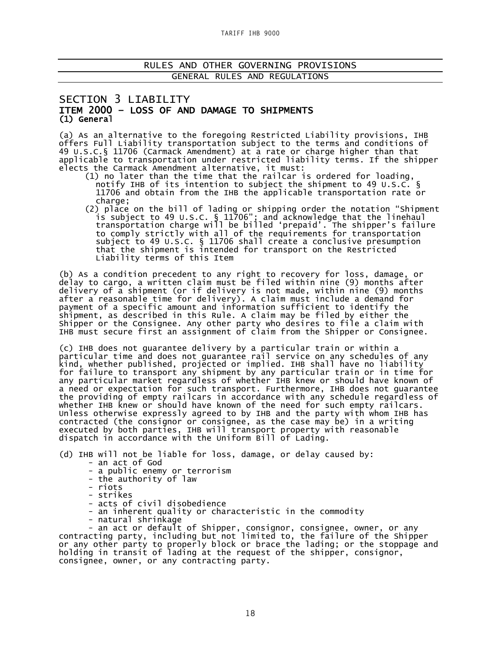### SECTION 3 LIABILITY ITEM 2000 – LOSS OF AND DAMAGE TO SHIPMENTS (1) General

(a) As an alternative to the foregoing Restricted Liability provisions, IHB offers Full Liability transportation subject to the terms and conditions of 49 U.S.C.§ 11706 (Carmack Amendment) at a rate or charge higher than that applicable to transportation under restricted liability terms. If the shipper elects the Carmack Amendment alternative, it must:

- (1) no later than the time that the railcar is ordered for loading, notify IHB of its intention to subject the shipment to 49 U.S.C. § 11706 and obtain from the IHB the applicable transportation rate or charge;
- (2) place on the bill of lading or shipping order the notation "Shipment is subject to 49 U.S.C. § 11706"; and acknowledge that the linehaul transportation charge will be billed 'prepaid'. The shipper's failure to comply strictly with all of the requirements for transportation subject to 49 U.S.C. § 11706 shall create a conclusive presumption that the shipment is intended for transport on the Restricted Liability terms of this Item

(b) As a condition precedent to any right to recovery for loss, damage, or delay to cargo, a written claim must be filed within nine (9) months after delivery of a shipment (or if delivery is not made, within nine (9) months after a reasonable time for delivery). A claim must include a demand for payment of a specific amount and information sufficient to identify the shipment, as described in this Rule. A claim may be filed by either the Shipper or the Consignee. Any other party who desires to file a claim with IHB must secure first an assignment of claim from the Shipper or Consignee.

(c) IHB does not guarantee delivery by a particular train or within a particular time and does not guarantee rail service on any schedules of any kind, whether published, projected or implied. IHB shall have no liability for failure to transport any shipment by any particular train or in time for any particular market regardless of whether IHB knew or should have known of a need or expectation for such transport. Furthermore, IHB does not guarantee the providing of empty railcars in accordance with any schedule regardless of whether IHB knew or should have known of the need for such empty railcars. Unless otherwise expressly agreed to by IHB and the party with whom IHB has contracted (the consignor or consignee, as the case may be) in a writing executed by both parties, IHB will transport property with reasonable dispatch in accordance with the Uniform Bill of Lading.

(d) IHB will not be liable for loss, damage, or delay caused by:

- an act of God
- a public enemy or terrorism
- the authority of law
- 
- riots strikes
- acts of civil disobedience
- an inherent quality or characteristic in the commodity natural shrinkage
- 

- an act or default of Shipper, consignor, consignee, owner, or any contracting party, including but not limited to, the failure of the Shipper or any other party to properly block or brace the lading; or the stoppage and holding in transit of lading at the request of the shipper, consignor, consignee, owner, or any contracting party.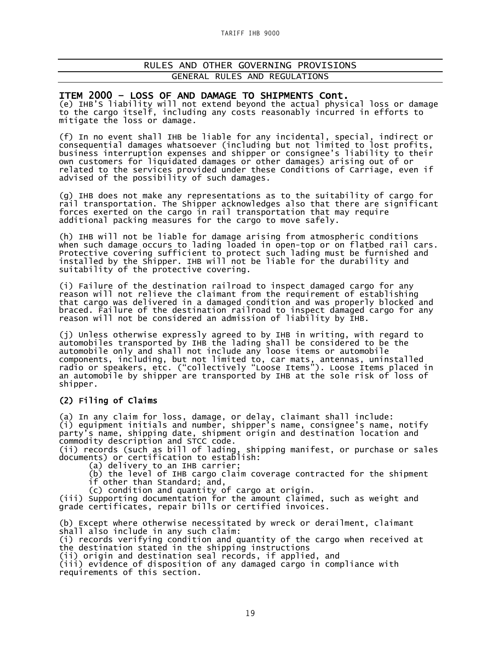### ITEM 2000 – LOSS OF AND DAMAGE TO SHIPMENTS Cont.

(e) IHB'S liability will not extend beyond the actual physical loss or damage to the cargo itself, including any costs reasonably incurred in efforts to mitigate the loss or damage.

(f) In no event shall IHB be liable for any incidental, special, indirect or consequential damages whatsoever (including but not limited to lost profits, business interruption expenses and shipper or consignee's liability to their own customers for liquidated damages or other damages) arising out of or related to the services provided under these Conditions of Carriage, even if advised of the possibility of such damages.

(g) IHB does not make any representations as to the suitability of cargo for rail transportation. The Shipper acknowledges also that there are significant forces exerted on the cargo in rail transportation that may require additional packing measures for the cargo to move safely.

(h) IHB will not be liable for damage arising from atmospheric conditions when such damage occurs to lading loaded in open-top or on flatbed rail cars. Protective covering sufficient to protect such lading must be furnished and installed by the Shipper. IHB will not be liable for the durability and suitability of the protective covering.

(i) Failure of the destination railroad to inspect damaged cargo for any reason will not relieve the claimant from the requirement of establishing that cargo was delivered in a damaged condition and was properly blocked and braced. Failure of the destination railroad to inspect damaged cargo for any reason will not be considered an admission of liability by IHB.

(j) Unless otherwise expressly agreed to by IHB in writing, with regard to automobiles transported by IHB the lading shall be considered to be the automobile only and shall not include any loose items or automobile components, including, but not limited to, car mats, antennas, uninstalled radio or speakers, etc. ("collectively "Loose Items"). Loose Items placed in an automobile by shipper are transported by IHB at the sole risk of loss of shipper.

### (2) Filing of Claims

(a) In any claim for loss, damage, or delay, claimant shall include: (i) equipment initials and number, shipper's name, consignee's name, notify party's name, shipping date, shipment origin and destination location and commodity description and STCC code.

(ii) records (such as bill of lading, shipping manifest, or purchase or sales documents) or certification to establish:

(a) delivery to an IHB carrier;

(b) the level of IHB cargo claim coverage contracted for the shipment

if other than Standard; and, (c) condition and quantity of cargo at origin.

(iii) Supporting documentation for the amount claimed, such as weight and grade certificates, repair bills or certified invoices.

(b) Except where otherwise necessitated by wreck or derailment, claimant shall also include in any such claim: (i) records verifying condition and quantity of the cargo when received at the destination stated in the shipping instructions (ii) origin and destination seal records, if applied, and (iii) evidence of disposition of any damaged cargo in compliance with requirements of this section.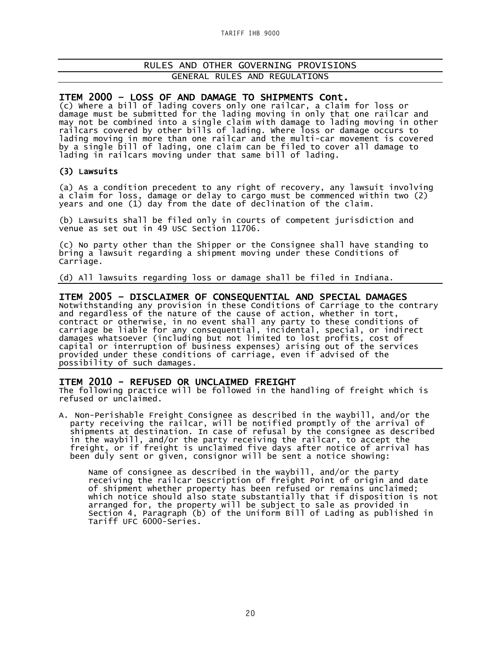ITEM 2000 – LOSS OF AND DAMAGE TO SHIPMENTS Cont. (c) Where a bill of lading covers only one railcar, a claim for loss or damage must be submitted for the lading moving in only that one railcar and may not be combined into a single claim with damage to lading moving in other railcars covered by other bills of lading. Where loss or damage occurs to lading moving in more than one railcar and the multi-car movement is covered by a single bill of lading, one claim can be filed to cover all damage to lading in railcars moving under that same bill of lading.

#### (3) Lawsuits

(a) As a condition precedent to any right of recovery, any lawsuit involving a claim for loss, damage or delay to cargo must be commenced within two (2) years and one (1) day from the date of declination of the claim.

(b) Lawsuits shall be filed only in courts of competent jurisdiction and venue as set out in 49 USC Section 11706.

(c) No party other than the Shipper or the Consignee shall have standing to bring a lawsuit regarding a shipment moving under these Conditions of Carriage.

(d) All lawsuits regarding loss or damage shall be filed in Indiana.

### ITEM 2005 – DISCLAIMER OF CONSEQUENTIAL AND SPECIAL DAMAGES

Notwithstanding any provision in these Conditions of Carriage to the contrary and regardless of the nature of the cause of action, whether in tort, contract or otherwise, in no event shall any party to these conditions of carriage be liable for any consequential, incidental, special, or indirect damages whatsoever (including but not limited to lost profits, cost of capital or interruption of business expenses) arising out of the services provided under these conditions of carriage, even if advised of the possibility of such damages.

**ITEM 2010 - REFUSED OR UNCLAIMED FREIGHT**<br>The following practice will be followed in the handling of freight which is refused or unclaimed.

A. Non-Perishable Freight Consignee as described in the waybill, and/or the party receiving the railcar, will be notified promptly of the arrival of shipments at destination. In case of refusal by the consignee as described in the waybill, and/or the party receiving the railcar, to accept the freight, or if freight is unclaimed five days after notice of arrival has been duly sent or given, consignor will be sent a notice showing:

Name of consignee as described in the waybill, and/or the party receiving the railcar Description of freight Point of origin and date of shipment whether property has been refused or remains unclaimed; which notice should also state substantially that if disposition is not arranged for, the property will be subject to sale as provided in Section 4, Paragraph (b) of the Uniform Bill of Lading as published in Tariff UFC 6000-Series.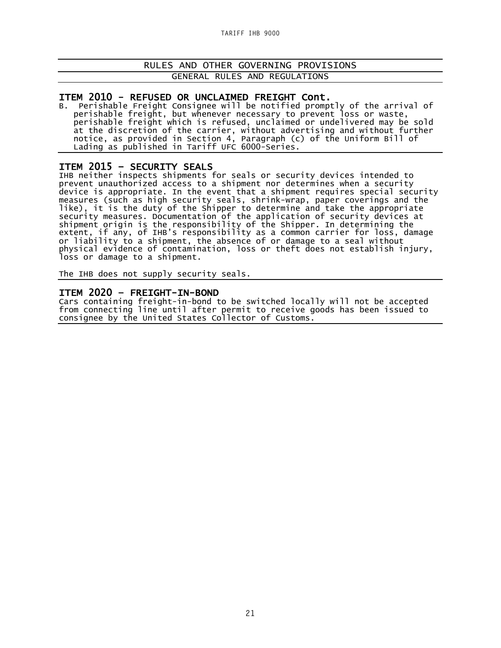ITEM 2010 - REFUSED OR UNCLAIMED FREIGHT Cont.<br>B. Perishable Freight Consignee will be notified promptly of the arrival of perishable freight, but whenever necessary to prevent loss or waste, perishable freight which is refused, unclaimed or undelivered may be sold at the discretion of the carrier, without advertising and without further notice, as provided in Section 4, Paragraph (c) of the Uniform Bill of Lading as published in Tariff UFC 6000-Series.

### ITEM 2015 – SECURITY SEALS

IHB neither inspects shipments for seals or security devices intended to prevent unauthorized access to a shipment nor determines when a security device is appropriate. In the event that a shipment requires special security measures (such as high security seals, shrink-wrap, paper coverings and the like), it is the duty of the Shipper to determine and take the appropriate security measures. Documentation of the application of security devices at shipment origin is the responsibility of the Shipper. In determining the extent, if any, of IHB's responsibility as a common carrier for loss, damage or liability to a shipment, the absence of or damage to a seal without physical evidence of contamination, loss or theft does not establish injury, loss or damage to a shipment.

The IHB does not supply security seals.

**ITEM 2020 - FREIGHT-IN-BOND**<br>Cars containing freight-in-bond to be switched locally will not be accepted from connecting line until after permit to receive goods has been issued to consignee by the United States Collector of Customs.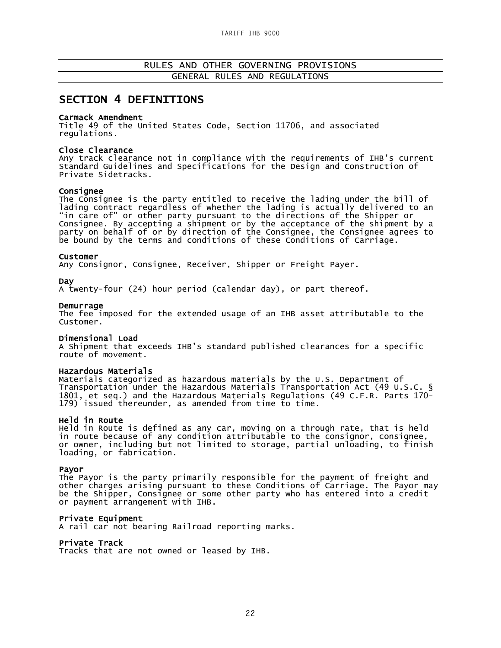### SECTION 4 DEFINITIONS

#### Carmack Amendment

Title 49 of the United States Code, Section 11706, and associated regulations.

#### Close Clearance

Any track clearance not in compliance with the requirements of IHB's current Standard Guidelines and Specifications for the Design and Construction of Private Sidetracks.

#### Consignee

The Consignee is the party entitled to receive the lading under the bill of lading contract regardless of whether the lading is actually delivered to an "in care of" or other party pursuant to the directions of the Shipper or Consignee. By accepting a shipment or by the acceptance of the shipment by a party on behalf of or by direction of the Consignee, the Consignee agrees to be bound by the terms and conditions of these Conditions of Carriage.

#### Customer

Any Consignor, Consignee, Receiver, Shipper or Freight Payer.

Day<br>A twenty-four (24) hour period (calendar day), or part thereof.

Demurrage<br>The fee imposed for the extended usage of an IHB asset attributable to the Customer.

#### Dimensional Load

A Shipment that exceeds IHB's standard published clearances for a specific route of movement.

#### Hazardous Materials

Materials categorized as hazardous materials by the U.S. Department of Transportation under the Hazardous Materials Transportation Act (49 U.S.C. § 1801, et seq.) and the Hazardous Materials Regulations (49 C.F.R. Parts 170-<br>179) issued thereunder, as amended from time to time.

#### Held in Route

Held in Route is defined as any car, moving on a through rate, that is held in route because of any condition attributable to the consignor, consignee, or owner, including but not limited to storage, partial unloading, to finish loading, or fabrication.

#### Payor

The Payor is the party primarily responsible for the payment of freight and other charges arising pursuant to these Conditions of Carriage. The Payor may be the Shipper, Consignee or some other party who has entered into a credit or payment arrangement with IHB.

#### Private Equipment

A rail car not bearing Railroad reporting marks.

Private Track<br>Tracks that are not owned or leased by IHB.